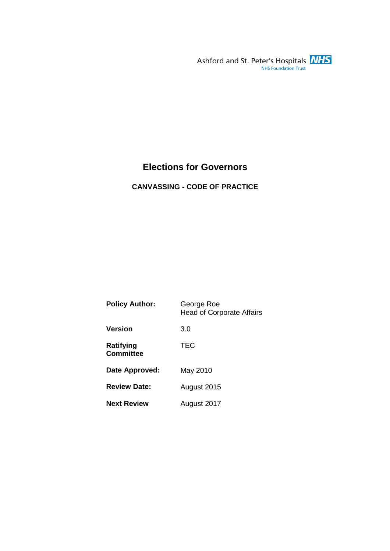Ashford and St. Peter's Hospitals **NHS**<br>NHS Foundation Trust

## **Elections for Governors**

**CANVASSING - CODE OF PRACTICE** 

| <b>Policy Author:</b>         | George Roe<br><b>Head of Corporate Affairs</b> |
|-------------------------------|------------------------------------------------|
| Version                       | 3.0                                            |
| Ratifying<br><b>Committee</b> | <b>TEC</b>                                     |
| Date Approved:                | May 2010                                       |
| <b>Review Date:</b>           | August 2015                                    |
| <b>Next Review</b>            | August 2017                                    |